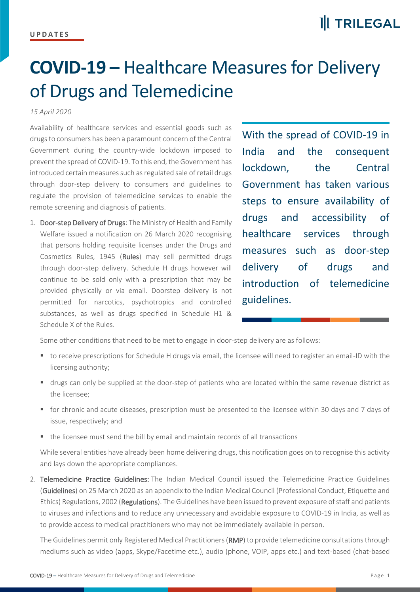## **COVID-19 –** Healthcare Measures for Delivery of Drugs and Telemedicine

## *15 April 2020*

Availability of healthcare services and essential goods such as drugs to consumers has been a paramount concern of the Central Government during the country-wide lockdown imposed to prevent the spread of COVID-19. To this end, the Government has introduced certain measures such as regulated sale of retail drugs through door-step delivery to consumers and guidelines to regulate the provision of telemedicine services to enable the remote screening and diagnosis of patients.

1. Door-step Delivery of Drugs: The Ministry of Health and Family Welfare issued a notification on 26 March 2020 recognising that persons holding requisite licenses under the Drugs and Cosmetics Rules, 1945 (Rules) may sell permitted drugs through door-step delivery. Schedule H drugs however will continue to be sold only with a prescription that may be provided physically or via email. Doorstep delivery is not permitted for narcotics, psychotropics and controlled substances, as well as drugs specified in Schedule H1 & Schedule X of the Rules.

With the spread of COVID-19 in India and the consequent lockdown, the Central Government has taken various steps to ensure availability of drugs and accessibility of healthcare services through measures such as door-step delivery of drugs and introduction of telemedicine guidelines.

Some other conditions that need to be met to engage in door-step delivery are as follows:

- to receive prescriptions for Schedule H drugs via email, the licensee will need to register an email-ID with the licensing authority;
- drugs can only be supplied at the door-step of patients who are located within the same revenue district as the licensee;
- for chronic and acute diseases, prescription must be presented to the licensee within 30 days and 7 days of issue, respectively; and
- the licensee must send the bill by email and maintain records of all transactions

While several entities have already been home delivering drugs, this notification goes on to recognise this activity and lays down the appropriate compliances.

2. Telemedicine Practice Guidelines: The Indian Medical Council issued the Telemedicine Practice Guidelines (Guidelines) on 25 March 2020 as an appendix to the Indian Medical Council (Professional Conduct, Etiquette and Ethics) Regulations, 2002 (Regulations). The Guidelines have been issued to prevent exposure of staff and patients to viruses and infections and to reduce any unnecessary and avoidable exposure to COVID-19 in India, as well as to provide access to medical practitioners who may not be immediately available in person.

The Guidelines permit only Registered Medical Practitioners (RMP) to provide telemedicine consultations through mediums such as video (apps, Skype/Facetime etc.), audio (phone, VOIP, apps etc.) and text-based (chat-based